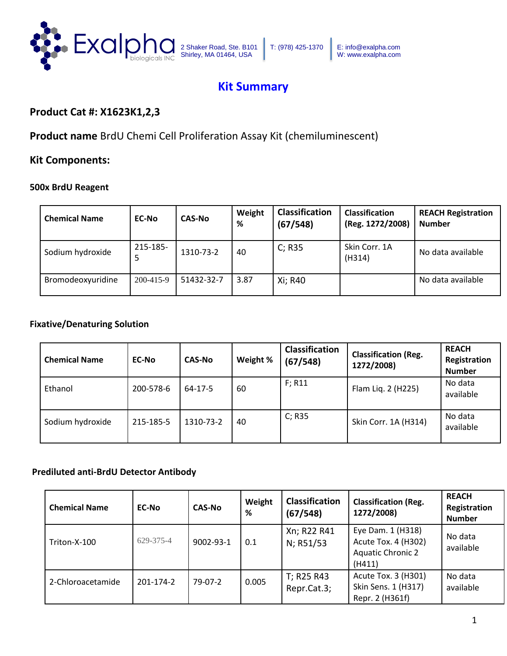

## **Kit Summary**

### **Product Cat #: X1623K1,2,3**

**Product name** BrdU Chemi Cell Proliferation Assay Kit (chemiluminescent)

### **Kit Components:**

#### **500x BrdU Reagent**

| <b>Chemical Name</b> | <b>EC-No</b> | <b>CAS-No</b> | Weight<br>% | <b>Classification</b><br>(67/548) | <b>Classification</b><br>(Reg. 1272/2008) | <b>REACH Registration</b><br><b>Number</b> |
|----------------------|--------------|---------------|-------------|-----------------------------------|-------------------------------------------|--------------------------------------------|
| Sodium hydroxide     | 215-185-     | 1310-73-2     | 40          | C; R35                            | Skin Corr. 1A<br>(H314)                   | No data available                          |
| Bromodeoxyuridine    | 200-415-9    | 51432-32-7    | 3.87        | Xi; R40                           |                                           | No data available                          |

### **Fixative/Denaturing Solution**

| <b>Chemical Name</b> | <b>EC-No</b> | <b>CAS-No</b> | Weight % | <b>Classification</b><br>(67/548) | <b>Classification (Reg.</b><br>1272/2008) | <b>REACH</b><br>Registration<br><b>Number</b> |
|----------------------|--------------|---------------|----------|-----------------------------------|-------------------------------------------|-----------------------------------------------|
| Ethanol              | 200-578-6    | 64-17-5       | 60       | $F$ ; R11                         | Flam Liq. 2 (H225)                        | No data<br>available                          |
| Sodium hydroxide     | 215-185-5    | 1310-73-2     | 40       | C; R35                            | Skin Corr. 1A (H314)                      | No data<br>available                          |

### **Prediluted anti-BrdU Detector Antibody**

| <b>Chemical Name</b> | <b>EC-No</b> | <b>CAS-No</b> | Weight<br>% | Classification<br>(67/548) | <b>Classification (Reg.</b><br>1272/2008)                                      | <b>REACH</b><br>Registration<br><b>Number</b> |
|----------------------|--------------|---------------|-------------|----------------------------|--------------------------------------------------------------------------------|-----------------------------------------------|
| Triton-X-100         | 629-375-4    | 9002-93-1     | 0.1         | Xn; R22 R41<br>N; R51/53   | Eye Dam. 1 (H318)<br>Acute Tox. 4 (H302)<br><b>Aquatic Chronic 2</b><br>(H411) | No data<br>available                          |
| 2-Chloroacetamide    | 201-174-2    | 79-07-2       | 0.005       | T; R25 R43<br>Repr.Cat.3;  | Acute Tox. 3 (H301)<br>Skin Sens. 1 (H317)<br>Repr. 2 (H361f)                  | No data<br>available                          |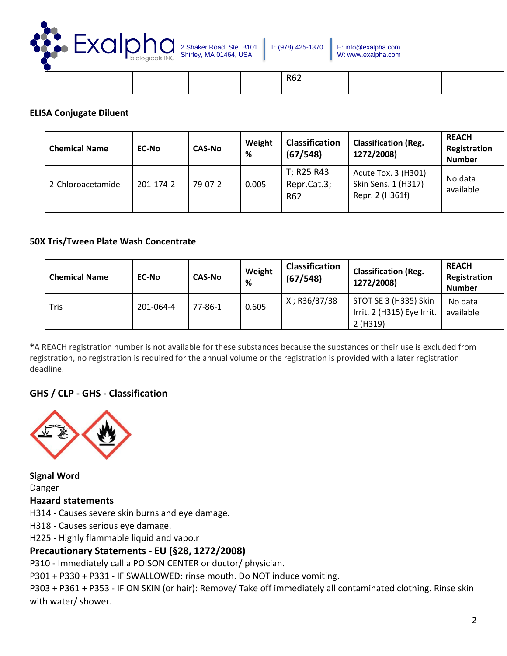

|  |  | R62 |  |
|--|--|-----|--|
|  |  |     |  |

### **ELISA Conjugate Diluent**

| <b>Chemical Name</b> | <b>EC-No</b> | <b>CAS-No</b> | Weight<br>% | <b>Classification</b><br>(67/548) | <b>Classification (Reg.</b><br>1272/2008)                     | <b>REACH</b><br>Registration<br><b>Number</b> |
|----------------------|--------------|---------------|-------------|-----------------------------------|---------------------------------------------------------------|-----------------------------------------------|
| 2-Chloroacetamide    | 201-174-2    | 79-07-2       | 0.005       | T; R25 R43<br>Repr.Cat.3;<br>R62  | Acute Tox. 3 (H301)<br>Skin Sens. 1 (H317)<br>Repr. 2 (H361f) | No data<br>available                          |

### **50X Tris/Tween Plate Wash Concentrate**

| <b>Chemical Name</b> | <b>EC-No</b> | <b>CAS-No</b> | Weight<br>% | <b>Classification</b><br>(67/548) | <b>Classification (Reg.</b><br>1272/2008)                      | <b>REACH</b><br>Registration<br><b>Number</b> |
|----------------------|--------------|---------------|-------------|-----------------------------------|----------------------------------------------------------------|-----------------------------------------------|
| Tris                 | 201-064-4    | 77-86-1       | 0.605       | Xi; R36/37/38                     | STOT SE 3 (H335) Skin<br>Irrit. 2 (H315) Eye Irrit.<br>2(H319) | No data<br>available                          |

**\***A REACH registration number is not available for these substances because the substances or their use is excluded from registration, no registration is required for the annual volume or the registration is provided with a later registration deadline.

### **GHS / CLP - GHS - Classification**



**Signal Word**  Danger **Hazard statements** 

H314 - Causes severe skin burns and eye damage.

H318 - Causes serious eye damage.

H225 - Highly flammable liquid and vapo.r

### **Precautionary Statements - EU (§28, 1272/2008)**

P310 - Immediately call a POISON CENTER or doctor/ physician.

P301 + P330 + P331 - IF SWALLOWED: rinse mouth. Do NOT induce vomiting.

P303 + P361 + P353 - IF ON SKIN (or hair): Remove/ Take off immediately all contaminated clothing. Rinse skin with water/ shower.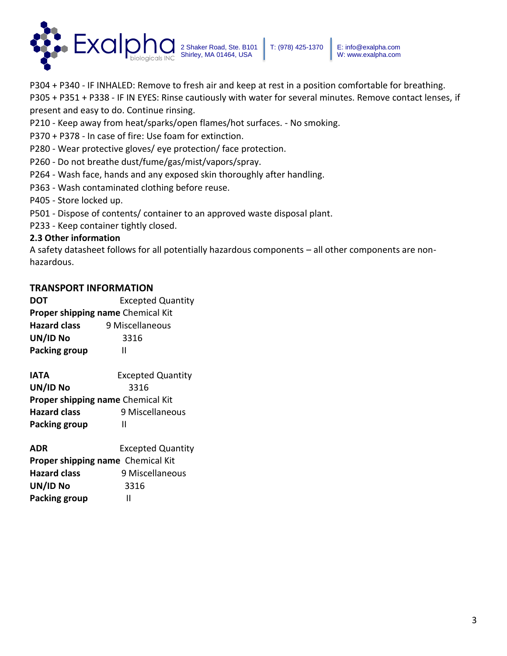

P304 + P340 - IF INHALED: Remove to fresh air and keep at rest in a position comfortable for breathing.

P305 + P351 + P338 - IF IN EYES: Rinse cautiously with water for several minutes. Remove contact lenses, if present and easy to do. Continue rinsing.

- P210 Keep away from heat/sparks/open flames/hot surfaces. No smoking.
- P370 + P378 In case of fire: Use foam for extinction.
- P280 Wear protective gloves/ eye protection/ face protection.
- P260 Do not breathe dust/fume/gas/mist/vapors/spray.
- P264 Wash face, hands and any exposed skin thoroughly after handling.
- P363 Wash contaminated clothing before reuse.
- P405 Store locked up.
- P501 Dispose of contents/ container to an approved waste disposal plant.
- P233 Keep container tightly closed.

### **2.3 Other information**

A safety datasheet follows for all potentially hazardous components – all other components are nonhazardous.

### **TRANSPORT INFORMATION**

**DOT Excepted Quantity Proper shipping name** Chemical Kit **Hazard class** 9 Miscellaneous **UN/ID No** 3316 **Packing group II** 

**IATA Excepted Quantity UN/ID No** 3316 **Proper shipping name** Chemical Kit **Hazard class** 9 Miscellaneous **Packing group II** 

**ADR** Excepted Quantity **Proper shipping name** Chemical Kit **Hazard class** 9 Miscellaneous **UN/ID No** 3316 **Packing group II**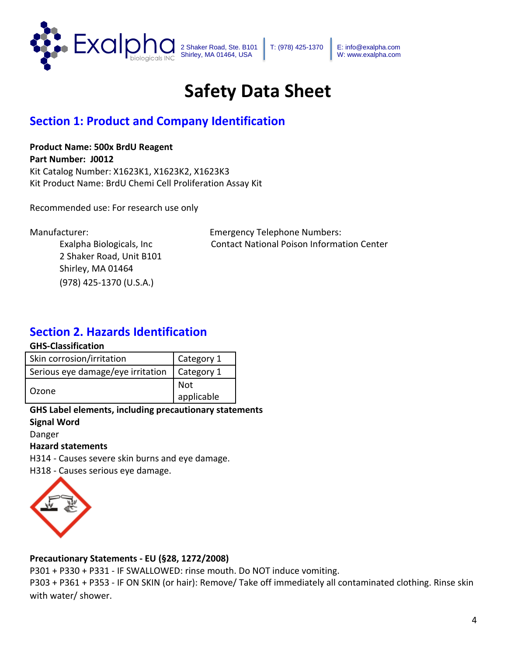

T: (978) 425-1370 E: info@exalpha.com W: www.exalpha.com

# **Safety Data Sheet**

## **Section 1: Product and Company Identification**

### **Product Name: 500x BrdU Reagent**

**Part Number: J0012** Kit Catalog Number: X1623K1, X1623K2, X1623K3 Kit Product Name: BrdU Chemi Cell Proliferation Assay Kit

Recommended use: For research use only

2 Shaker Road, Unit B101 Shirley, MA 01464 (978) 425-1370 (U.S.A.)

Manufacturer: Emergency Telephone Numbers: Exalpha Biologicals, Inc Contact National Poison Information Center

## **Section 2. Hazards Identification**

#### **GHS-Classification**

| Skin corrosion/irritation         | Category 1 |
|-----------------------------------|------------|
| Serious eye damage/eye irritation | Category 1 |
| Ozone                             | Not        |
|                                   | applicable |

### **GHS Label elements, including precautionary statements Signal Word**

Danger

### **Hazard statements**

H314 - Causes severe skin burns and eye damage.

H318 - Causes serious eye damage.



### **Precautionary Statements - EU (§28, 1272/2008)**

P301 + P330 + P331 - IF SWALLOWED: rinse mouth. Do NOT induce vomiting.

P303 + P361 + P353 - IF ON SKIN (or hair): Remove/ Take off immediately all contaminated clothing. Rinse skin with water/ shower.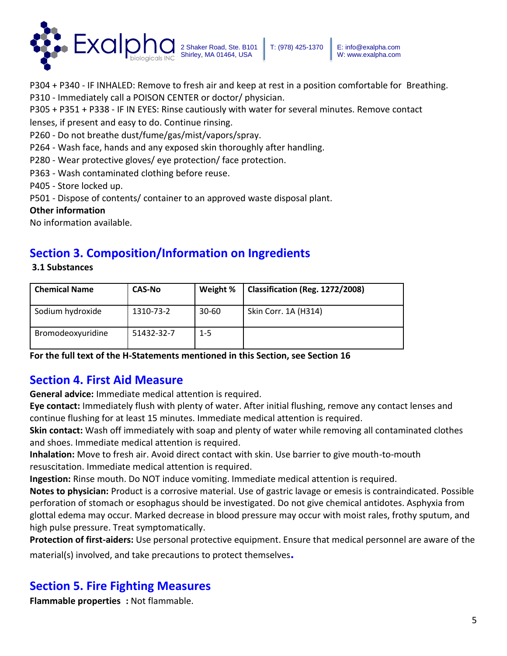

P304 + P340 - IF INHALED: Remove to fresh air and keep at rest in a position comfortable for Breathing. P310 - Immediately call a POISON CENTER or doctor/ physician.

W: www.exalpha.com

P305 + P351 + P338 - IF IN EYES: Rinse cautiously with water for several minutes. Remove contact

lenses, if present and easy to do. Continue rinsing.

P260 - Do not breathe dust/fume/gas/mist/vapors/spray.

P264 - Wash face, hands and any exposed skin thoroughly after handling.

P280 - Wear protective gloves/ eye protection/ face protection.

P363 - Wash contaminated clothing before reuse.

P405 - Store locked up.

P501 - Dispose of contents/ container to an approved waste disposal plant.

#### **Other information**

**3.1 Substances** 

No information available.

## **Section 3. Composition/Information on Ingredients**

| <b>Chemical Name</b> | <b>CAS-No</b> | Weight %  | Classification (Reg. 1272/2008) |
|----------------------|---------------|-----------|---------------------------------|
| Sodium hydroxide     | 1310-73-2     | $30 - 60$ | Skin Corr. 1A (H314)            |
| Bromodeoxyuridine    | 51432-32-7    | $1 - 5$   |                                 |

**For the full text of the H-Statements mentioned in this Section, see Section 16** 

## **Section 4. First Aid Measure**

**General advice:** Immediate medical attention is required.

**Eye contact:** Immediately flush with plenty of water. After initial flushing, remove any contact lenses and continue flushing for at least 15 minutes. Immediate medical attention is required.

**Skin contact:** Wash off immediately with soap and plenty of water while removing all contaminated clothes and shoes. Immediate medical attention is required.

**Inhalation:** Move to fresh air. Avoid direct contact with skin. Use barrier to give mouth-to-mouth resuscitation. Immediate medical attention is required.

**Ingestion:** Rinse mouth. Do NOT induce vomiting. Immediate medical attention is required.

**Notes to physician:** Product is a corrosive material. Use of gastric lavage or emesis is contraindicated. Possible perforation of stomach or esophagus should be investigated. Do not give chemical antidotes. Asphyxia from glottal edema may occur. Marked decrease in blood pressure may occur with moist rales, frothy sputum, and high pulse pressure. Treat symptomatically.

**Protection of first-aiders:** Use personal protective equipment. Ensure that medical personnel are aware of the material(s) involved, and take precautions to protect themselves**.**

## **Section 5. Fire Fighting Measures**

**Flammable properties :** Not flammable.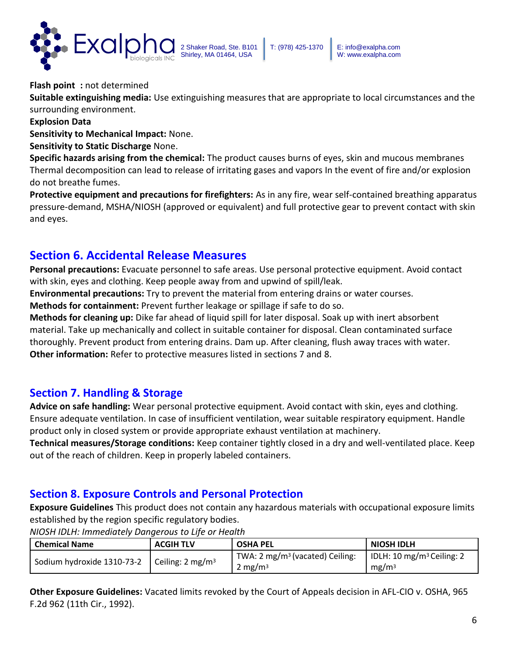

**Flash point :** not determined

**Suitable extinguishing media:** Use extinguishing measures that are appropriate to local circumstances and the surrounding environment.

**Explosion Data** 

**Sensitivity to Mechanical Impact:** None.

**Sensitivity to Static Discharge** None.

**Specific hazards arising from the chemical:** The product causes burns of eyes, skin and mucous membranes Thermal decomposition can lead to release of irritating gases and vapors In the event of fire and/or explosion do not breathe fumes.

**Protective equipment and precautions for firefighters:** As in any fire, wear self-contained breathing apparatus pressure-demand, MSHA/NIOSH (approved or equivalent) and full protective gear to prevent contact with skin and eyes.

## **Section 6. Accidental Release Measures**

**Personal precautions:** Evacuate personnel to safe areas. Use personal protective equipment. Avoid contact with skin, eyes and clothing. Keep people away from and upwind of spill/leak.

**Environmental precautions:** Try to prevent the material from entering drains or water courses.

**Methods for containment:** Prevent further leakage or spillage if safe to do so.

**Methods for cleaning up:** Dike far ahead of liquid spill for later disposal. Soak up with inert absorbent material. Take up mechanically and collect in suitable container for disposal. Clean contaminated surface thoroughly. Prevent product from entering drains. Dam up. After cleaning, flush away traces with water. **Other information:** Refer to protective measures listed in sections 7 and 8.

### **Section 7. Handling & Storage**

**Advice on safe handling:** Wear personal protective equipment. Avoid contact with skin, eyes and clothing. Ensure adequate ventilation. In case of insufficient ventilation, wear suitable respiratory equipment. Handle product only in closed system or provide appropriate exhaust ventilation at machinery.

**Technical measures/Storage conditions:** Keep container tightly closed in a dry and well-ventilated place. Keep out of the reach of children. Keep in properly labeled containers.

### **Section 8. Exposure Controls and Personal Protection**

**Exposure Guidelines** This product does not contain any hazardous materials with occupational exposure limits established by the region specific regulatory bodies.

| l Chemical Name            | <b>ACGIH TLV</b>            | <b>OSHA PEL</b>                             | <b>NIOSH IDLH</b>                     |
|----------------------------|-----------------------------|---------------------------------------------|---------------------------------------|
| Sodium hydroxide 1310-73-2 | Ceiling: $2 \text{ mg/m}^3$ | TWA: 2 mg/m <sup>3</sup> (vacated) Ceiling: | IDLH: 10 mg/m <sup>3</sup> Ceiling: 2 |
|                            |                             | 2 mg/m <sup>3</sup>                         | mg/m <sup>3</sup>                     |

*NIOSH IDLH: Immediately Dangerous to Life or Health* 

**Other Exposure Guidelines:** Vacated limits revoked by the Court of Appeals decision in AFL-CIO v. OSHA, 965 F.2d 962 (11th Cir., 1992).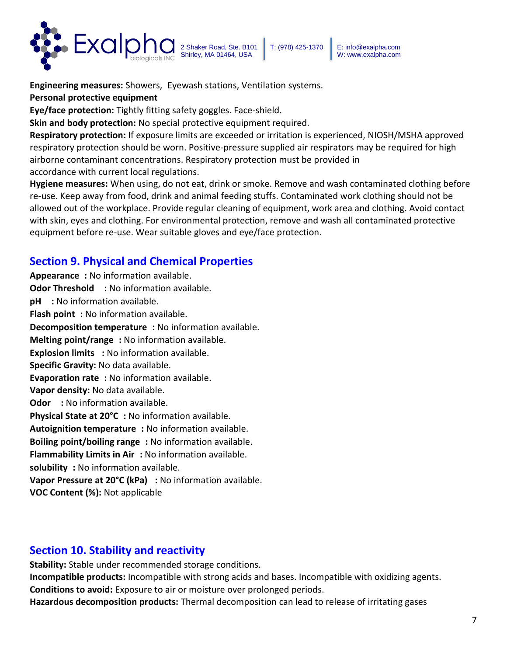

**Engineering measures:** Showers, Eyewash stations, Ventilation systems.

**Personal protective equipment** 

**Eye/face protection:** Tightly fitting safety goggles. Face-shield.

**Skin and body protection:** No special protective equipment required.

**Respiratory protection:** If exposure limits are exceeded or irritation is experienced, NIOSH/MSHA approved respiratory protection should be worn. Positive-pressure supplied air respirators may be required for high airborne contaminant concentrations. Respiratory protection must be provided in accordance with current local regulations.

**Hygiene measures:** When using, do not eat, drink or smoke. Remove and wash contaminated clothing before re-use. Keep away from food, drink and animal feeding stuffs. Contaminated work clothing should not be allowed out of the workplace. Provide regular cleaning of equipment, work area and clothing. Avoid contact with skin, eyes and clothing. For environmental protection, remove and wash all contaminated protective equipment before re-use. Wear suitable gloves and eye/face protection.

## **Section 9. Physical and Chemical Properties**

**Appearance :** No information available. **Odor Threshold** : No information available. **pH** : No information available. **Flash point** : No information available. **Decomposition temperature :** No information available. **Melting point/range :** No information available. **Explosion limits : No information available. Specific Gravity:** No data available. **Evaporation rate :** No information available. **Vapor density:** No data available. **Odor** : No information available. **Physical State at 20°C :** No information available. **Autoignition temperature :** No information available. **Boiling point/boiling range :** No information available. **Flammability Limits in Air :** No information available. **solubility :** No information available. **Vapor Pressure at 20°C (kPa) :** No information available. **VOC Content (%):** Not applicable

## **Section 10. Stability and reactivity**

**Stability:** Stable under recommended storage conditions.

**Incompatible products:** Incompatible with strong acids and bases. Incompatible with oxidizing agents. **Conditions to avoid:** Exposure to air or moisture over prolonged periods.

**Hazardous decomposition products:** Thermal decomposition can lead to release of irritating gases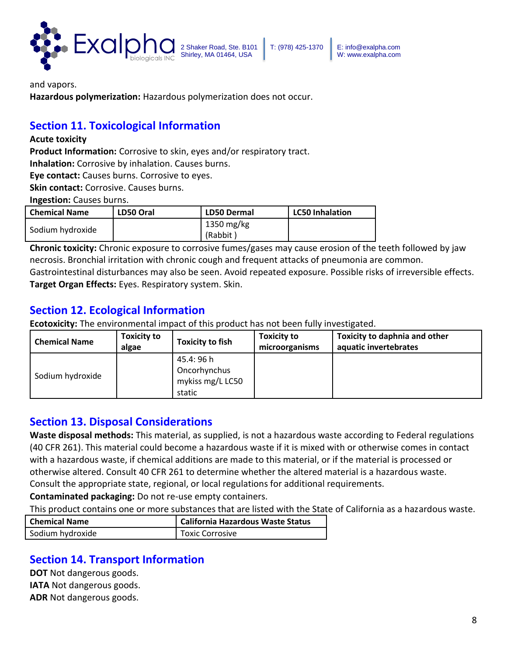

and vapors.

**Hazardous polymerization:** Hazardous polymerization does not occur.

## **Section 11. Toxicological Information**

#### **Acute toxicity**

**Product Information:** Corrosive to skin, eyes and/or respiratory tract.

**Inhalation:** Corrosive by inhalation. Causes burns.

**Eye contact:** Causes burns. Corrosive to eyes.

**Skin contact:** Corrosive. Causes burns.

**Ingestion:** Causes burns.

| <b>Chemical Name</b> | LD50 Oral | <b>LD50 Dermal</b>     | <b>LC50 Inhalation</b> |
|----------------------|-----------|------------------------|------------------------|
| Sodium hydroxide     |           | 1350 mg/kg<br>(Rabbit) |                        |

**Chronic toxicity:** Chronic exposure to corrosive fumes/gases may cause erosion of the teeth followed by jaw necrosis. Bronchial irritation with chronic cough and frequent attacks of pneumonia are common. Gastrointestinal disturbances may also be seen. Avoid repeated exposure. Possible risks of irreversible effects.

**Target Organ Effects:** Eyes. Respiratory system. Skin.

### **Section 12. Ecological Information**

**Ecotoxicity:** The environmental impact of this product has not been fully investigated.

| <b>Chemical Name</b> | <b>Toxicity to</b><br>algae | <b>Toxicity to fish</b>                                  | <b>Toxicity to</b><br>microorganisms | <b>Toxicity to daphnia and other</b><br>aquatic invertebrates |
|----------------------|-----------------------------|----------------------------------------------------------|--------------------------------------|---------------------------------------------------------------|
| Sodium hydroxide     |                             | 45.4: 96 h<br>Oncorhynchus<br>mykiss mg/L LC50<br>static |                                      |                                                               |

### **Section 13. Disposal Considerations**

**Waste disposal methods:** This material, as supplied, is not a hazardous waste according to Federal regulations (40 CFR 261). This material could become a hazardous waste if it is mixed with or otherwise comes in contact with a hazardous waste, if chemical additions are made to this material, or if the material is processed or otherwise altered. Consult 40 CFR 261 to determine whether the altered material is a hazardous waste. Consult the appropriate state, regional, or local regulations for additional requirements.

**Contaminated packaging:** Do not re-use empty containers.

This product contains one or more substances that are listed with the State of California as a hazardous waste.

| <b>Chemical Name</b> | California Hazardous Waste Status |
|----------------------|-----------------------------------|
| Sodium hydroxide     | <b>Toxic Corrosive</b>            |

## **Section 14. Transport Information**

**DOT** Not dangerous goods. **IATA** Not dangerous goods. **ADR** Not dangerous goods.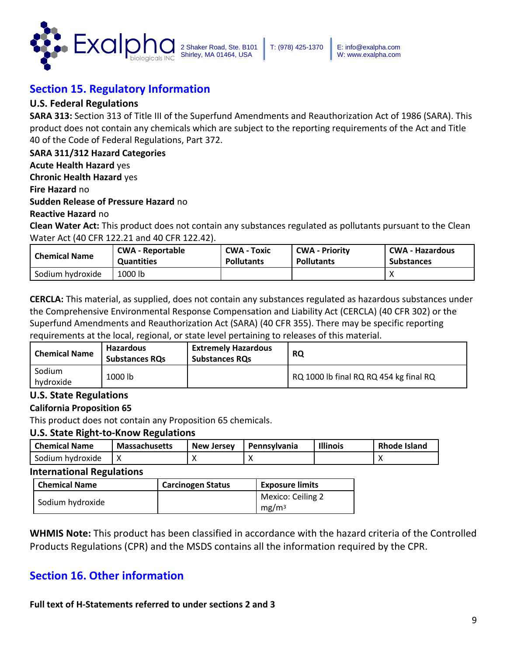

## **Section 15. Regulatory Information**

### **U.S. Federal Regulations**

**SARA 313:** Section 313 of Title III of the Superfund Amendments and Reauthorization Act of 1986 (SARA). This product does not contain any chemicals which are subject to the reporting requirements of the Act and Title 40 of the Code of Federal Regulations, Part 372.

### **SARA 311/312 Hazard Categories**

**Acute Health Hazard** yes

**Chronic Health Hazard** yes

**Fire Hazard** no

#### **Sudden Release of Pressure Hazard** no

**Reactive Hazard** no

**Clean Water Act:** This product does not contain any substances regulated as pollutants pursuant to the Clean Water Act (40 CFR 122.21 and 40 CFR 122.42).

| <b>Chemical Name</b> | <b>CWA - Reportable</b> | <b>CWA - Toxic</b> | <b>CWA - Priority</b> | <b>CWA - Hazardous</b> |
|----------------------|-------------------------|--------------------|-----------------------|------------------------|
|                      | <b>Quantities</b>       | <b>Pollutants</b>  | <b>Pollutants</b>     | <b>Substances</b>      |
| Sodium hydroxide     | 1000 lb                 |                    |                       |                        |

**CERCLA:** This material, as supplied, does not contain any substances regulated as hazardous substances under the Comprehensive Environmental Response Compensation and Liability Act (CERCLA) (40 CFR 302) or the Superfund Amendments and Reauthorization Act (SARA) (40 CFR 355). There may be specific reporting requirements at the local, regional, or state level pertaining to releases of this material.

| <b>Chemical Name</b> | <b>Hazardous</b><br><b>Substances RQs</b> | <b>Extremely Hazardous</b><br><b>Substances RQs</b> | <b>RQ</b>                              |
|----------------------|-------------------------------------------|-----------------------------------------------------|----------------------------------------|
| Sodium<br>hvdroxide  | 1000 lb                                   |                                                     | RQ 1000 lb final RQ RQ 454 kg final RQ |

### **U.S. State Regulations**

#### **California Proposition 65**

This product does not contain any Proposition 65 chemicals.

#### **U.S. State Right-to-Know Regulations**

| l Chemical Name  | <b>Massachusetts</b> | <b>New Jersey</b> | I Pennsylvania | <b>Illinois</b> | <b>Rhode Island</b> |
|------------------|----------------------|-------------------|----------------|-----------------|---------------------|
| Sodium hydroxide |                      |                   |                |                 |                     |

#### **International Regulations**

| <b>Chemical Name</b> | <b>Carcinogen Status</b> | <b>Exposure limits</b>                 |
|----------------------|--------------------------|----------------------------------------|
| Sodium hydroxide     |                          | Mexico: Ceiling 2<br>mg/m <sup>3</sup> |

**WHMIS Note:** This product has been classified in accordance with the hazard criteria of the Controlled Products Regulations (CPR) and the MSDS contains all the information required by the CPR.

### **Section 16. Other information**

#### **Full text of H-Statements referred to under sections 2 and 3**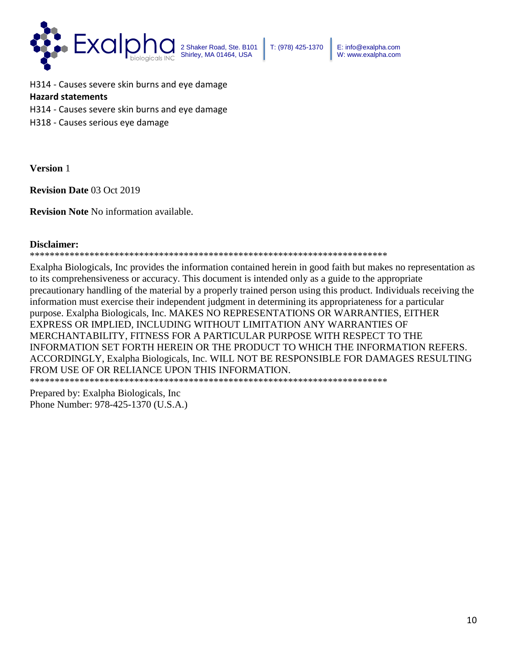

T: (978) 425-1370 E: info@exalpha.com W: www.exalpha.com

H314 - Causes severe skin burns and eye damage **Hazard statements**  H314 - Causes severe skin burns and eye damage H318 - Causes serious eye damage

**Version** 1

**Revision Date** 03 Oct 2019

**Revision Note** No information available.

#### **Disclaimer:**

\*\*\*\*\*\*\*\*\*\*\*\*\*\*\*\*\*\*\*\*\*\*\*\*\*\*\*\*\*\*\*\*\*\*\*\*\*\*\*\*\*\*\*\*\*\*\*\*\*\*\*\*\*\*\*\*\*\*\*\*\*\*\*\*\*\*\*\*\*\*\*\*

Exalpha Biologicals, Inc provides the information contained herein in good faith but makes no representation as to its comprehensiveness or accuracy. This document is intended only as a guide to the appropriate precautionary handling of the material by a properly trained person using this product. Individuals receiving the information must exercise their independent judgment in determining its appropriateness for a particular purpose. Exalpha Biologicals, Inc. MAKES NO REPRESENTATIONS OR WARRANTIES, EITHER EXPRESS OR IMPLIED, INCLUDING WITHOUT LIMITATION ANY WARRANTIES OF MERCHANTABILITY, FITNESS FOR A PARTICULAR PURPOSE WITH RESPECT TO THE INFORMATION SET FORTH HEREIN OR THE PRODUCT TO WHICH THE INFORMATION REFERS. ACCORDINGLY, Exalpha Biologicals, Inc. WILL NOT BE RESPONSIBLE FOR DAMAGES RESULTING FROM USE OF OR RELIANCE UPON THIS INFORMATION.

\*\*\*\*\*\*\*\*\*\*\*\*\*\*\*\*\*\*\*\*\*\*\*\*\*\*\*\*\*\*\*\*\*\*\*\*\*\*\*\*\*\*\*\*\*\*\*\*\*\*\*\*\*\*\*\*\*\*\*\*\*\*\*\*\*\*\*\*\*\*\*\*

Prepared by: Exalpha Biologicals, Inc Phone Number: 978-425-1370 (U.S.A.)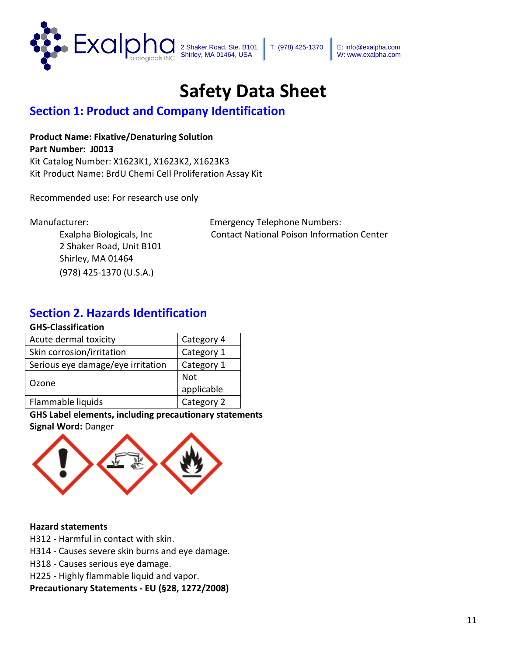

T: (978) 425-1370 E: info@exalpha.com W: www.exalpha.com

# **Safety Data Sheet**

## **Section 1: Product and Company Identification**

**Product Name: Fixative/Denaturing Solution Part Number: J0013** Kit Catalog Number: X1623K1, X1623K2, X1623K3

Kit Product Name: BrdU Chemi Cell Proliferation Assay Kit

Recommended use: For research use only

2 Shaker Road, Unit B101 Shirley, MA 01464 (978) 425-1370 (U.S.A.)

Manufacturer: Emergency Telephone Numbers: Exalpha Biologicals, Inc Contact National Poison Information Center

## **Section 2. Hazards Identification**

#### **GHS-Classification**

| Acute dermal toxicity             | Category 4 |
|-----------------------------------|------------|
| Skin corrosion/irritation         | Category 1 |
| Serious eye damage/eye irritation | Category 1 |
| Ozone                             | Not        |
|                                   | applicable |
| Flammable liquids                 | Category 2 |

### **GHS Label elements, including precautionary statements**

### **Signal Word:** Danger



### **Hazard statements**

H312 - Harmful in contact with skin.

H314 - Causes severe skin burns and eye damage.

H318 - Causes serious eye damage.

H225 - Highly flammable liquid and vapor.

**Precautionary Statements - EU (§28, 1272/2008)**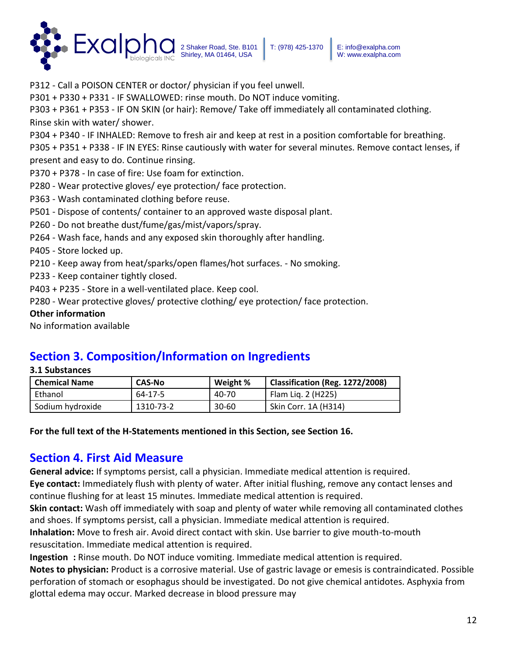

P301 + P330 + P331 - IF SWALLOWED: rinse mouth. Do NOT induce vomiting.

P303 + P361 + P353 - IF ON SKIN (or hair): Remove/ Take off immediately all contaminated clothing. Rinse skin with water/ shower.

P304 + P340 - IF INHALED: Remove to fresh air and keep at rest in a position comfortable for breathing.

P305 + P351 + P338 - IF IN EYES: Rinse cautiously with water for several minutes. Remove contact lenses, if present and easy to do. Continue rinsing.

P370 + P378 - In case of fire: Use foam for extinction.

P280 - Wear protective gloves/ eye protection/ face protection.

P363 - Wash contaminated clothing before reuse.

P501 - Dispose of contents/ container to an approved waste disposal plant.

P260 - Do not breathe dust/fume/gas/mist/vapors/spray.

P264 - Wash face, hands and any exposed skin thoroughly after handling.

P405 - Store locked up.

P210 - Keep away from heat/sparks/open flames/hot surfaces. - No smoking.

P233 - Keep container tightly closed.

P403 + P235 - Store in a well-ventilated place. Keep cool.

P280 - Wear protective gloves/ protective clothing/ eye protection/ face protection.

### **Other information**

No information available

## **Section 3. Composition/Information on Ingredients**

| Chemical Name    | <b>CAS-No</b> | Weight %  | Classification (Reg. 1272/2008) |
|------------------|---------------|-----------|---------------------------------|
| Ethanol          | 64-17-5       | 40-70     | Flam Lig. 2 (H225)              |
| Sodium hydroxide | 1310-73-2     | $30 - 60$ | Skin Corr. 1A (H314)            |

**For the full text of the H-Statements mentioned in this Section, see Section 16.** 

## **Section 4. First Aid Measure**

**General advice:** If symptoms persist, call a physician. Immediate medical attention is required.

**Eye contact:** Immediately flush with plenty of water. After initial flushing, remove any contact lenses and continue flushing for at least 15 minutes. Immediate medical attention is required.

**Skin contact:** Wash off immediately with soap and plenty of water while removing all contaminated clothes and shoes. If symptoms persist, call a physician. Immediate medical attention is required.

**Inhalation:** Move to fresh air. Avoid direct contact with skin. Use barrier to give mouth-to-mouth resuscitation. Immediate medical attention is required.

**Ingestion :** Rinse mouth. Do NOT induce vomiting. Immediate medical attention is required.

**Notes to physician:** Product is a corrosive material. Use of gastric lavage or emesis is contraindicated. Possible perforation of stomach or esophagus should be investigated. Do not give chemical antidotes. Asphyxia from glottal edema may occur. Marked decrease in blood pressure may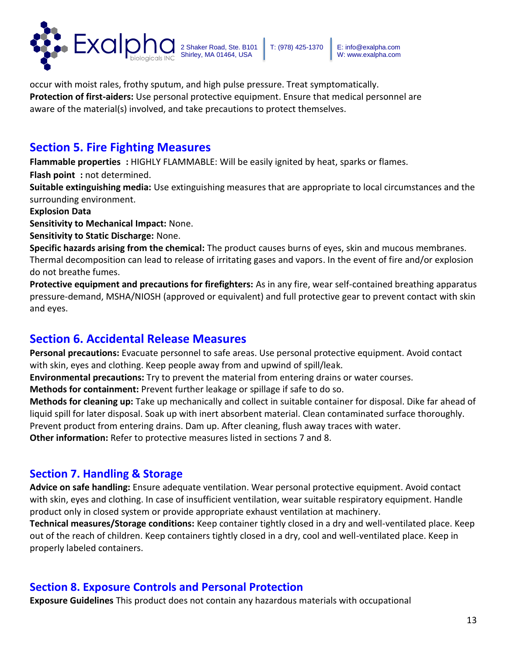

occur with moist rales, frothy sputum, and high pulse pressure. Treat symptomatically. **Protection of first-aiders:** Use personal protective equipment. Ensure that medical personnel are aware of the material(s) involved, and take precautions to protect themselves.

## **Section 5. Fire Fighting Measures**

**Flammable properties :** HIGHLY FLAMMABLE: Will be easily ignited by heat, sparks or flames.

**Flash point :** not determined.

**Suitable extinguishing media:** Use extinguishing measures that are appropriate to local circumstances and the surrounding environment.

### **Explosion Data**

**Sensitivity to Mechanical Impact:** None.

**Sensitivity to Static Discharge:** None.

**Specific hazards arising from the chemical:** The product causes burns of eyes, skin and mucous membranes. Thermal decomposition can lead to release of irritating gases and vapors. In the event of fire and/or explosion do not breathe fumes.

**Protective equipment and precautions for firefighters:** As in any fire, wear self-contained breathing apparatus pressure-demand, MSHA/NIOSH (approved or equivalent) and full protective gear to prevent contact with skin and eyes.

## **Section 6. Accidental Release Measures**

**Personal precautions:** Evacuate personnel to safe areas. Use personal protective equipment. Avoid contact with skin, eyes and clothing. Keep people away from and upwind of spill/leak.

**Environmental precautions:** Try to prevent the material from entering drains or water courses.

**Methods for containment:** Prevent further leakage or spillage if safe to do so.

**Methods for cleaning up:** Take up mechanically and collect in suitable container for disposal. Dike far ahead of liquid spill for later disposal. Soak up with inert absorbent material. Clean contaminated surface thoroughly. Prevent product from entering drains. Dam up. After cleaning, flush away traces with water.

**Other information:** Refer to protective measures listed in sections 7 and 8.

## **Section 7. Handling & Storage**

**Advice on safe handling:** Ensure adequate ventilation. Wear personal protective equipment. Avoid contact with skin, eyes and clothing. In case of insufficient ventilation, wear suitable respiratory equipment. Handle product only in closed system or provide appropriate exhaust ventilation at machinery.

**Technical measures/Storage conditions:** Keep container tightly closed in a dry and well-ventilated place. Keep out of the reach of children. Keep containers tightly closed in a dry, cool and well-ventilated place. Keep in properly labeled containers.

## **Section 8. Exposure Controls and Personal Protection**

**Exposure Guidelines** This product does not contain any hazardous materials with occupational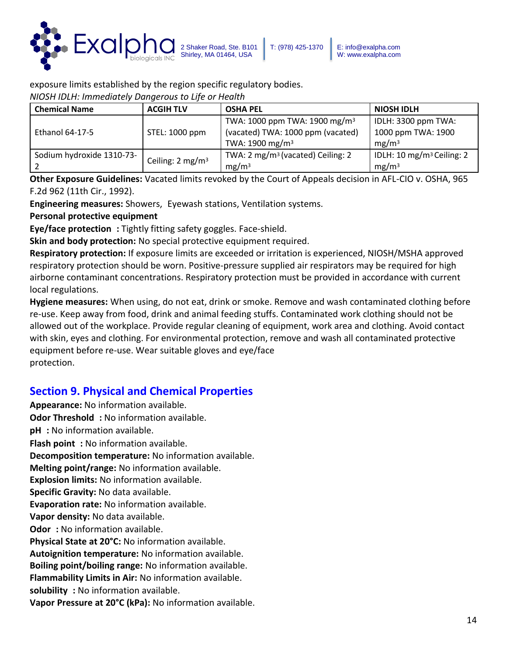

exposure limits established by the region specific regulatory bodies.

*NIOSH IDLH: Immediately Dangerous to Life or Health* 

| <b>Chemical Name</b>      | <b>ACGIH TLV</b>            | <b>OSHA PEL</b>                               | <b>NIOSH IDLH</b>                     |
|---------------------------|-----------------------------|-----------------------------------------------|---------------------------------------|
|                           |                             | TWA: 1000 ppm TWA: 1900 mg/m <sup>3</sup>     | IDLH: 3300 ppm TWA:                   |
| Ethanol 64-17-5           | STEL: 1000 ppm              | (vacated) TWA: 1000 ppm (vacated)             | 1000 ppm TWA: 1900                    |
|                           |                             | TWA: $1900 \text{ mg/m}^3$                    | mg/m <sup>3</sup>                     |
| Sodium hydroxide 1310-73- | Ceiling: $2 \text{ mg/m}^3$ | TWA: 2 mg/m <sup>3</sup> (vacated) Ceiling: 2 | IDLH: 10 mg/m <sup>3</sup> Ceiling: 2 |
|                           |                             | mg/m <sup>3</sup>                             | mg/m <sup>3</sup>                     |

**Other Exposure Guidelines:** Vacated limits revoked by the Court of Appeals decision in AFL-CIO v. OSHA, 965 F.2d 962 (11th Cir., 1992).

**Engineering measures:** Showers, Eyewash stations, Ventilation systems.

**Personal protective equipment** 

**Eye/face protection :** Tightly fitting safety goggles. Face-shield.

**Skin and body protection:** No special protective equipment required.

**Respiratory protection:** If exposure limits are exceeded or irritation is experienced, NIOSH/MSHA approved respiratory protection should be worn. Positive-pressure supplied air respirators may be required for high airborne contaminant concentrations. Respiratory protection must be provided in accordance with current local regulations.

**Hygiene measures:** When using, do not eat, drink or smoke. Remove and wash contaminated clothing before re-use. Keep away from food, drink and animal feeding stuffs. Contaminated work clothing should not be allowed out of the workplace. Provide regular cleaning of equipment, work area and clothing. Avoid contact with skin, eyes and clothing. For environmental protection, remove and wash all contaminated protective equipment before re-use. Wear suitable gloves and eye/face protection.

## **Section 9. Physical and Chemical Properties**

**Appearance:** No information available. **Odor Threshold :** No information available. **pH :** No information available. **Flash point :** No information available. **Decomposition temperature:** No information available. **Melting point/range:** No information available. **Explosion limits:** No information available. **Specific Gravity:** No data available. **Evaporation rate:** No information available. **Vapor density:** No data available. **Odor**: No information available. **Physical State at 20°C:** No information available. **Autoignition temperature:** No information available. **Boiling point/boiling range:** No information available. **Flammability Limits in Air:** No information available. **solubility :** No information available. **Vapor Pressure at 20°C (kPa):** No information available.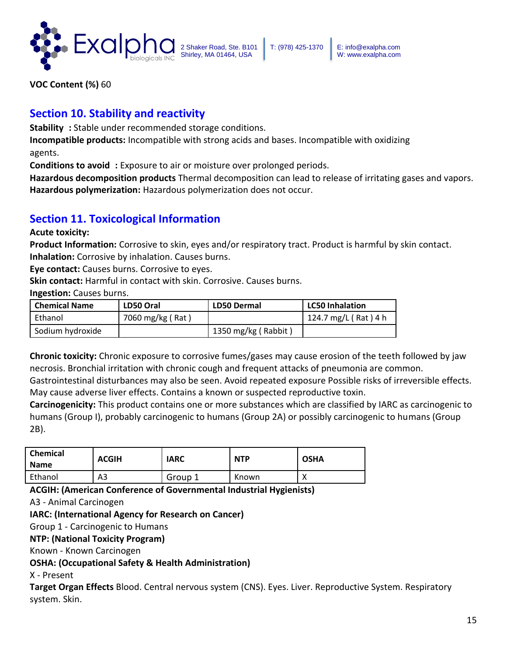

**VOC Content (%)** 60

## **Section 10. Stability and reactivity**

**Stability :** Stable under recommended storage conditions.

**Incompatible products:** Incompatible with strong acids and bases. Incompatible with oxidizing agents.

**Conditions to avoid :** Exposure to air or moisture over prolonged periods.

**Hazardous decomposition products** Thermal decomposition can lead to release of irritating gases and vapors. **Hazardous polymerization:** Hazardous polymerization does not occur.

## **Section 11. Toxicological Information**

**Acute toxicity:** 

**Product Information:** Corrosive to skin, eyes and/or respiratory tract. Product is harmful by skin contact. **Inhalation:** Corrosive by inhalation. Causes burns.

**Eye contact:** Causes burns. Corrosive to eyes.

**Skin contact:** Harmful in contact with skin. Corrosive. Causes burns.

**Ingestion:** Causes burns.

| <b>Chemical Name</b> | LD50 Oral        | <b>LD50 Dermal</b>  | <b>LC50 Inhalation</b> |
|----------------------|------------------|---------------------|------------------------|
| Ethanol              | 7060 mg/kg (Rat) |                     | 124.7 mg/L (Rat) 4 h   |
| Sodium hydroxide     |                  | 1350 mg/kg (Rabbit) |                        |

**Chronic toxicity:** Chronic exposure to corrosive fumes/gases may cause erosion of the teeth followed by jaw necrosis. Bronchial irritation with chronic cough and frequent attacks of pneumonia are common.

Gastrointestinal disturbances may also be seen. Avoid repeated exposure Possible risks of irreversible effects. May cause adverse liver effects. Contains a known or suspected reproductive toxin.

**Carcinogenicity:** This product contains one or more substances which are classified by IARC as carcinogenic to humans (Group I), probably carcinogenic to humans (Group 2A) or possibly carcinogenic to humans (Group 2B).

| <b>Chemical</b><br><b>Name</b> | <b>ACGIH</b> | IARC    | <b>NTP</b> | <b>OSHA</b> |
|--------------------------------|--------------|---------|------------|-------------|
| Ethanol                        | A3           | Group 1 | Known      | ∧           |

**ACGIH: (American Conference of Governmental Industrial Hygienists)** 

A3 - Animal Carcinogen

**IARC: (International Agency for Research on Cancer)** 

Group 1 - Carcinogenic to Humans

**NTP: (National Toxicity Program)** 

Known - Known Carcinogen

**OSHA: (Occupational Safety & Health Administration)** 

X - Present

**Target Organ Effects** Blood. Central nervous system (CNS). Eyes. Liver. Reproductive System. Respiratory system. Skin.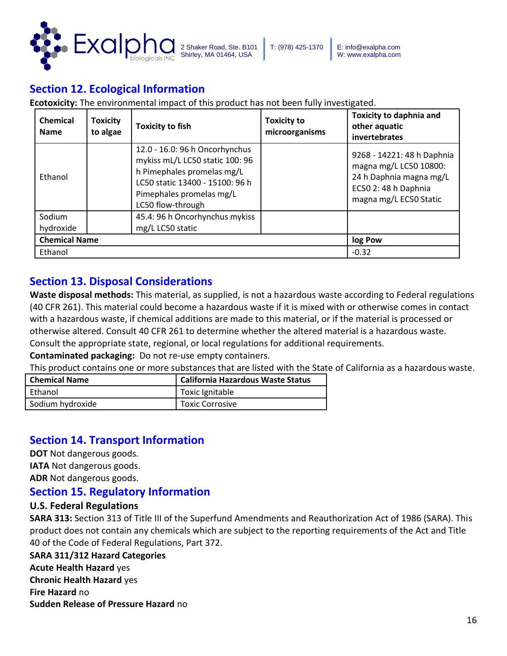

## **Section 12. Ecological Information**

**Ecotoxicity:** The environmental impact of this product has not been fully investigated.

| <b>Chemical</b><br><b>Name</b> | <b>Toxicity</b><br>to algae | <b>Toxicity to fish</b>                                                                                                                                                             | <b>Toxicity to</b><br>microorganisms | <b>Toxicity to daphnia and</b><br>other aquatic<br>invertebrates                                                                  |
|--------------------------------|-----------------------------|-------------------------------------------------------------------------------------------------------------------------------------------------------------------------------------|--------------------------------------|-----------------------------------------------------------------------------------------------------------------------------------|
| Ethanol                        |                             | 12.0 - 16.0: 96 h Oncorhynchus<br>mykiss mL/L LC50 static 100: 96<br>h Pimephales promelas mg/L<br>LC50 static 13400 - 15100: 96 h<br>Pimephales promelas mg/L<br>LC50 flow-through |                                      | 9268 - 14221: 48 h Daphnia<br>magna mg/L LC50 10800:<br>24 h Daphnia magna mg/L<br>EC50 2: 48 h Daphnia<br>magna mg/L EC50 Static |
| Sodium<br>hydroxide            |                             | 45.4: 96 h Oncorhynchus mykiss<br>mg/L LC50 static                                                                                                                                  |                                      |                                                                                                                                   |
| <b>Chemical Name</b>           |                             |                                                                                                                                                                                     |                                      | log Pow                                                                                                                           |
| Ethanol                        |                             |                                                                                                                                                                                     |                                      | $-0.32$                                                                                                                           |

### **Section 13. Disposal Considerations**

**Waste disposal methods:** This material, as supplied, is not a hazardous waste according to Federal regulations (40 CFR 261). This material could become a hazardous waste if it is mixed with or otherwise comes in contact with a hazardous waste, if chemical additions are made to this material, or if the material is processed or otherwise altered. Consult 40 CFR 261 to determine whether the altered material is a hazardous waste. Consult the appropriate state, regional, or local regulations for additional requirements.

**Contaminated packaging:** Do not re-use empty containers.

This product contains one or more substances that are listed with the State of California as a hazardous waste.

| <b>Chemical Name</b> | <b>California Hazardous Waste Status</b> |  |
|----------------------|------------------------------------------|--|
| Ethanol              | Toxic Ignitable                          |  |
| Sodium hydroxide     | Toxic Corrosive                          |  |

### **Section 14. Transport Information**

**DOT** Not dangerous goods.

**IATA** Not dangerous goods.

**ADR** Not dangerous goods.

### **Section 15. Regulatory Information**

#### **U.S. Federal Regulations**

**SARA 313:** Section 313 of Title III of the Superfund Amendments and Reauthorization Act of 1986 (SARA). This product does not contain any chemicals which are subject to the reporting requirements of the Act and Title 40 of the Code of Federal Regulations, Part 372.

#### **SARA 311/312 Hazard Categories**

**Acute Health Hazard** yes **Chronic Health Hazard** yes **Fire Hazard** no **Sudden Release of Pressure Hazard** no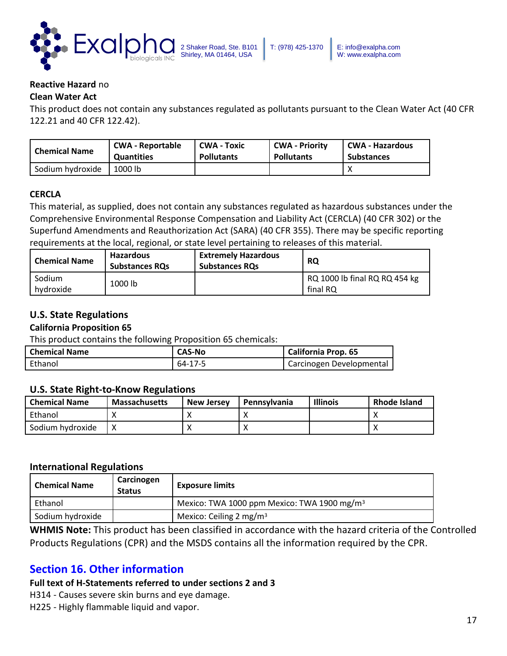

#### **Reactive Hazard** no

#### **Clean Water Act**

This product does not contain any substances regulated as pollutants pursuant to the Clean Water Act (40 CFR 122.21 and 40 CFR 122.42).

| Chemical Name    | <b>CWA - Reportable</b> | <b>CWA - Toxic</b> | <b>CWA - Priority</b> | CWA - Hazardous   |
|------------------|-------------------------|--------------------|-----------------------|-------------------|
|                  | <b>Quantities</b>       | <b>Pollutants</b>  | <b>Pollutants</b>     | <b>Substances</b> |
| Sodium hydroxide | 1000 lb                 |                    |                       |                   |

#### **CERCLA**

This material, as supplied, does not contain any substances regulated as hazardous substances under the Comprehensive Environmental Response Compensation and Liability Act (CERCLA) (40 CFR 302) or the Superfund Amendments and Reauthorization Act (SARA) (40 CFR 355). There may be specific reporting requirements at the local, regional, or state level pertaining to releases of this material.

| <b>Chemical Name</b> | <b>Hazardous</b><br><b>Substances RQs</b> | <b>Extremely Hazardous</b><br><b>Substances RQs</b> | <b>RQ</b>                                 |
|----------------------|-------------------------------------------|-----------------------------------------------------|-------------------------------------------|
| Sodium<br>hvdroxide  | 1000 lb                                   |                                                     | RQ 1000 lb final RQ RQ 454 kg<br>final RQ |

### **U.S. State Regulations**

#### **California Proposition 65**

This product contains the following Proposition 65 chemicals:

| <b>Chemical Name</b> | <b>CAS-No</b> | <b>California Prop. 65</b> |
|----------------------|---------------|----------------------------|
| Ethanol              | 64-17-5       | Carcinogen Developmental   |

#### **U.S. State Right-to-Know Regulations**

| <b>Chemical Name</b> | <b>Massachusetts</b> | <b>New Jersey</b> | Pennsylvania | <b>Illinois</b> | <b>Rhode Island</b> |
|----------------------|----------------------|-------------------|--------------|-----------------|---------------------|
| Ethanol              |                      |                   |              |                 |                     |
| Sodium hydroxide     |                      |                   | $\lambda$    |                 |                     |

#### **International Regulations**

| <b>Chemical Name</b> | Carcinogen<br><b>Status</b> | <b>Exposure limits</b>                                  |
|----------------------|-----------------------------|---------------------------------------------------------|
| Ethanol              |                             | Mexico: TWA 1000 ppm Mexico: TWA 1900 mg/m <sup>3</sup> |
| Sodium hydroxide     |                             | Mexico: Ceiling 2 mg/m <sup>3</sup>                     |

**WHMIS Note:** This product has been classified in accordance with the hazard criteria of the Controlled Products Regulations (CPR) and the MSDS contains all the information required by the CPR.

### **Section 16. Other information**

#### **Full text of H-Statements referred to under sections 2 and 3**

H314 - Causes severe skin burns and eye damage.

H225 - Highly flammable liquid and vapor.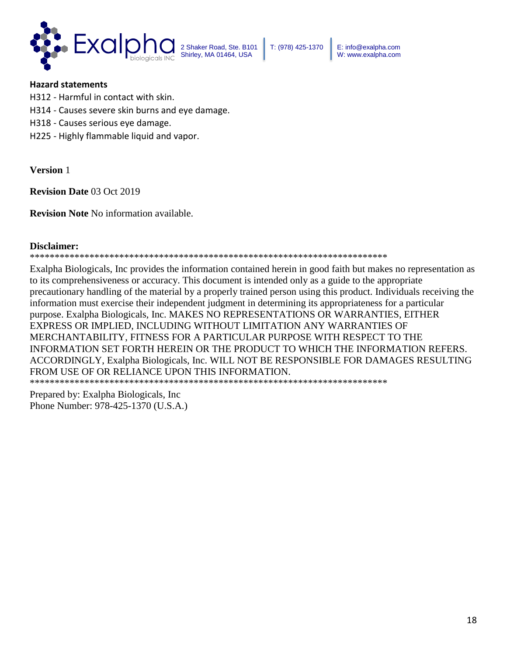

T: (978) 425-1370 E: info@exalpha.com W: www.exalpha.com

#### **Hazard statements**

- H312 Harmful in contact with skin.
- H314 Causes severe skin burns and eye damage.
- H318 Causes serious eye damage.
- H225 Highly flammable liquid and vapor.

**Version** 1

**Revision Date** 03 Oct 2019

**Revision Note** No information available.

#### **Disclaimer:**

\*\*\*\*\*\*\*\*\*\*\*\*\*\*\*\*\*\*\*\*\*\*\*\*\*\*\*\*\*\*\*\*\*\*\*\*\*\*\*\*\*\*\*\*\*\*\*\*\*\*\*\*\*\*\*\*\*\*\*\*\*\*\*\*\*\*\*\*\*\*\*\*

Exalpha Biologicals, Inc provides the information contained herein in good faith but makes no representation as to its comprehensiveness or accuracy. This document is intended only as a guide to the appropriate precautionary handling of the material by a properly trained person using this product. Individuals receiving the information must exercise their independent judgment in determining its appropriateness for a particular purpose. Exalpha Biologicals, Inc. MAKES NO REPRESENTATIONS OR WARRANTIES, EITHER EXPRESS OR IMPLIED, INCLUDING WITHOUT LIMITATION ANY WARRANTIES OF MERCHANTABILITY, FITNESS FOR A PARTICULAR PURPOSE WITH RESPECT TO THE INFORMATION SET FORTH HEREIN OR THE PRODUCT TO WHICH THE INFORMATION REFERS. ACCORDINGLY, Exalpha Biologicals, Inc. WILL NOT BE RESPONSIBLE FOR DAMAGES RESULTING FROM USE OF OR RELIANCE UPON THIS INFORMATION.

\*\*\*\*\*\*\*\*\*\*\*\*\*\*\*\*\*\*\*\*\*\*\*\*\*\*\*\*\*\*\*\*\*\*\*\*\*\*\*\*\*\*\*\*\*\*\*\*\*\*\*\*\*\*\*\*\*\*\*\*\*\*\*\*\*\*\*\*\*\*\*\*

Prepared by: Exalpha Biologicals, Inc Phone Number: 978-425-1370 (U.S.A.)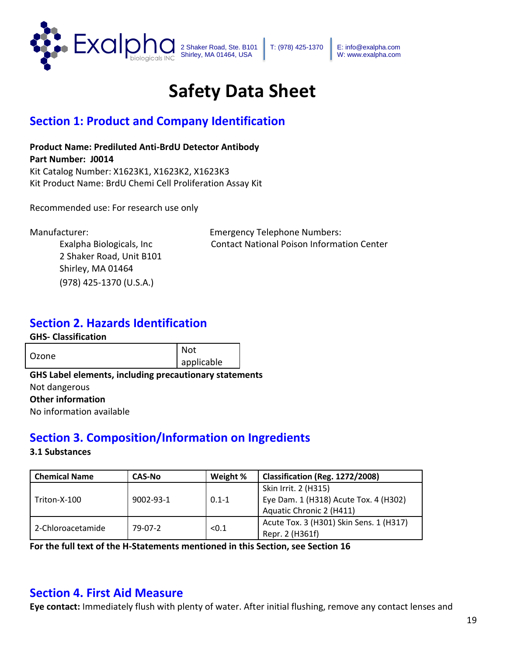

T: (978) 425-1370 E: info@exalpha.com W: www.exalpha.com

# **Safety Data Sheet**

## **Section 1: Product and Company Identification**

**Product Name: Prediluted Anti-BrdU Detector Antibody Part Number: J0014** Kit Catalog Number: X1623K1, X1623K2, X1623K3 Kit Product Name: BrdU Chemi Cell Proliferation Assay Kit

Recommended use: For research use only

2 Shaker Road, Unit B101 Shirley, MA 01464 (978) 425-1370 (U.S.A.)

Manufacturer: Emergency Telephone Numbers: Exalpha Biologicals, Inc Contact National Poison Information Center

## **Section 2. Hazards Identification**

#### **GHS- Classification**

Ozone Not applicable

**GHS Label elements, including precautionary statements**  Not dangerous **Other information**  No information available

## **Section 3. Composition/Information on Ingredients**

#### **3.1 Substances**

| <b>Chemical Name</b> | CAS-No    | Weight %  | Classification (Reg. 1272/2008)         |
|----------------------|-----------|-----------|-----------------------------------------|
|                      |           |           | Skin Irrit. 2 (H315)                    |
| Triton-X-100         | 9002-93-1 | $0.1 - 1$ | Eye Dam. 1 (H318) Acute Tox. 4 (H302)   |
|                      |           |           | Aquatic Chronic 2 (H411)                |
|                      |           |           | Acute Tox. 3 (H301) Skin Sens. 1 (H317) |
| 2-Chloroacetamide    | 79-07-2   | < 0.1     | Repr. 2 (H361f)                         |

**For the full text of the H-Statements mentioned in this Section, see Section 16** 

## **Section 4. First Aid Measure**

**Eye contact:** Immediately flush with plenty of water. After initial flushing, remove any contact lenses and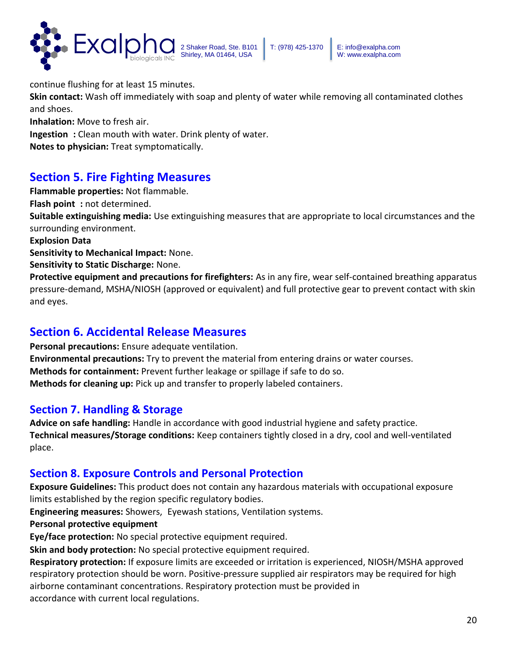

continue flushing for at least 15 minutes.

**Skin contact:** Wash off immediately with soap and plenty of water while removing all contaminated clothes and shoes.

**Inhalation:** Move to fresh air.

**Ingestion :** Clean mouth with water. Drink plenty of water.

**Notes to physician:** Treat symptomatically.

## **Section 5. Fire Fighting Measures**

**Flammable properties:** Not flammable.

**Flash point :** not determined.

**Suitable extinguishing media:** Use extinguishing measures that are appropriate to local circumstances and the surrounding environment.

**Explosion Data** 

**Sensitivity to Mechanical Impact:** None.

**Sensitivity to Static Discharge:** None.

**Protective equipment and precautions for firefighters:** As in any fire, wear self-contained breathing apparatus pressure-demand, MSHA/NIOSH (approved or equivalent) and full protective gear to prevent contact with skin and eyes.

## **Section 6. Accidental Release Measures**

**Personal precautions:** Ensure adequate ventilation. **Environmental precautions:** Try to prevent the material from entering drains or water courses. **Methods for containment:** Prevent further leakage or spillage if safe to do so. **Methods for cleaning up:** Pick up and transfer to properly labeled containers.

### **Section 7. Handling & Storage**

**Advice on safe handling:** Handle in accordance with good industrial hygiene and safety practice. **Technical measures/Storage conditions:** Keep containers tightly closed in a dry, cool and well-ventilated place.

### **Section 8. Exposure Controls and Personal Protection**

**Exposure Guidelines:** This product does not contain any hazardous materials with occupational exposure limits established by the region specific regulatory bodies.

**Engineering measures:** Showers, Eyewash stations, Ventilation systems.

**Personal protective equipment** 

**Eye/face protection:** No special protective equipment required.

**Skin and body protection:** No special protective equipment required.

**Respiratory protection:** If exposure limits are exceeded or irritation is experienced, NIOSH/MSHA approved respiratory protection should be worn. Positive-pressure supplied air respirators may be required for high airborne contaminant concentrations. Respiratory protection must be provided in accordance with current local regulations.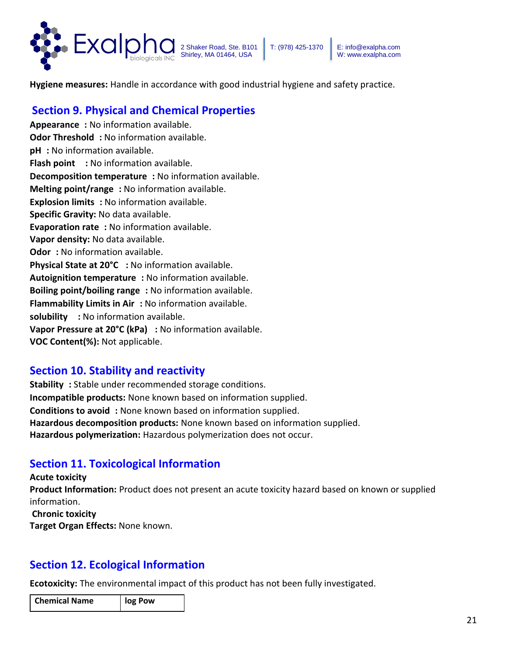

**Hygiene measures:** Handle in accordance with good industrial hygiene and safety practice.

## **Section 9. Physical and Chemical Properties**

**Appearance :** No information available. **Odor Threshold :** No information available. **pH :** No information available. **Flash point** : No information available. **Decomposition temperature :** No information available. **Melting point/range :** No information available. **Explosion limits**: No information available. **Specific Gravity:** No data available. **Evaporation rate :** No information available. **Vapor density:** No data available. **Odor**: No information available. **Physical State at 20°C :** No information available. **Autoignition temperature :** No information available. **Boiling point/boiling range :** No information available. **Flammability Limits in Air :** No information available. **solubility :** No information available. **Vapor Pressure at 20°C (kPa) :** No information available. **VOC Content(%):** Not applicable.

### **Section 10. Stability and reactivity**

**Stability :** Stable under recommended storage conditions. **Incompatible products:** None known based on information supplied. **Conditions to avoid :** None known based on information supplied. **Hazardous decomposition products:** None known based on information supplied. **Hazardous polymerization:** Hazardous polymerization does not occur.

## **Section 11. Toxicological Information**

**Acute toxicity Product Information:** Product does not present an acute toxicity hazard based on known or supplied information.

**Chronic toxicity** 

**Target Organ Effects:** None known.

### **Section 12. Ecological Information**

**Ecotoxicity:** The environmental impact of this product has not been fully investigated.

| <b>Chemical Name</b> | log Pow |
|----------------------|---------|
|                      |         |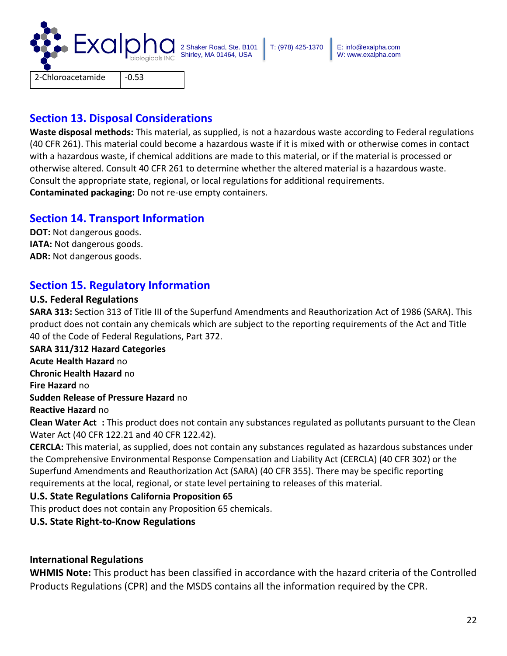

### **Section 13. Disposal Considerations**

**Waste disposal methods:** This material, as supplied, is not a hazardous waste according to Federal regulations (40 CFR 261). This material could become a hazardous waste if it is mixed with or otherwise comes in contact with a hazardous waste, if chemical additions are made to this material, or if the material is processed or otherwise altered. Consult 40 CFR 261 to determine whether the altered material is a hazardous waste. Consult the appropriate state, regional, or local regulations for additional requirements. **Contaminated packaging:** Do not re-use empty containers.

### **Section 14. Transport Information**

**DOT:** Not dangerous goods. **IATA:** Not dangerous goods. **ADR:** Not dangerous goods.

## **Section 15. Regulatory Information**

### **U.S. Federal Regulations**

**SARA 313:** Section 313 of Title III of the Superfund Amendments and Reauthorization Act of 1986 (SARA). This product does not contain any chemicals which are subject to the reporting requirements of the Act and Title 40 of the Code of Federal Regulations, Part 372.

**SARA 311/312 Hazard Categories**

**Acute Health Hazard** no

**Chronic Health Hazard** no

**Fire Hazard** no

**Sudden Release of Pressure Hazard** no

**Reactive Hazard** no

**Clean Water Act :** This product does not contain any substances regulated as pollutants pursuant to the Clean Water Act (40 CFR 122.21 and 40 CFR 122.42).

**CERCLA:** This material, as supplied, does not contain any substances regulated as hazardous substances under the Comprehensive Environmental Response Compensation and Liability Act (CERCLA) (40 CFR 302) or the Superfund Amendments and Reauthorization Act (SARA) (40 CFR 355). There may be specific reporting requirements at the local, regional, or state level pertaining to releases of this material.

### **U.S. State Regulations California Proposition 65**

This product does not contain any Proposition 65 chemicals.

### **U.S. State Right-to-Know Regulations**

### **International Regulations**

**WHMIS Note:** This product has been classified in accordance with the hazard criteria of the Controlled Products Regulations (CPR) and the MSDS contains all the information required by the CPR.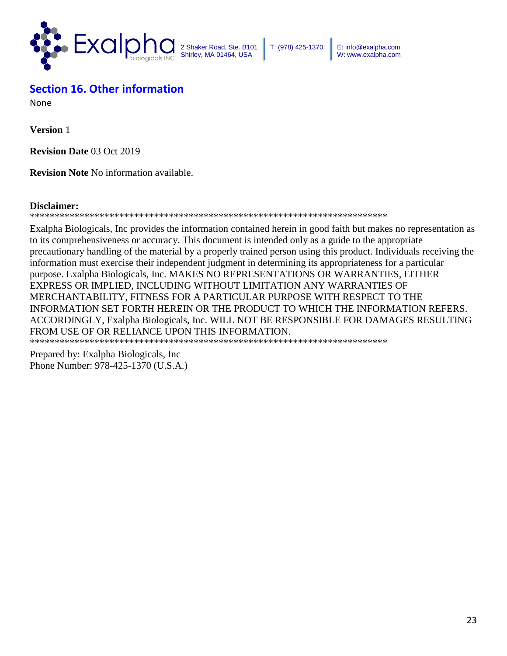

T: (978) 425-1370 E: info@exalpha.com W: www.exalpha.com

## **Section 16. Other information**

None

**Version** 1

**Revision Date** 03 Oct 2019

**Revision Note** No information available.

#### **Disclaimer:**

#### \*\*\*\*\*\*\*\*\*\*\*\*\*\*\*\*\*\*\*\*\*\*\*\*\*\*\*\*\*\*\*\*\*\*\*\*\*\*\*\*\*\*\*\*\*\*\*\*\*\*\*\*\*\*\*\*\*\*\*\*\*\*\*\*\*\*\*\*\*\*\*\*

Exalpha Biologicals, Inc provides the information contained herein in good faith but makes no representation as to its comprehensiveness or accuracy. This document is intended only as a guide to the appropriate precautionary handling of the material by a properly trained person using this product. Individuals receiving the information must exercise their independent judgment in determining its appropriateness for a particular purpose. Exalpha Biologicals, Inc. MAKES NO REPRESENTATIONS OR WARRANTIES, EITHER EXPRESS OR IMPLIED, INCLUDING WITHOUT LIMITATION ANY WARRANTIES OF MERCHANTABILITY, FITNESS FOR A PARTICULAR PURPOSE WITH RESPECT TO THE INFORMATION SET FORTH HEREIN OR THE PRODUCT TO WHICH THE INFORMATION REFERS. ACCORDINGLY, Exalpha Biologicals, Inc. WILL NOT BE RESPONSIBLE FOR DAMAGES RESULTING FROM USE OF OR RELIANCE UPON THIS INFORMATION. \*\*\*\*\*\*\*\*\*\*\*\*\*\*\*\*\*\*\*\*\*\*\*\*\*\*\*\*\*\*\*\*\*\*\*\*\*\*\*\*\*\*\*\*\*\*\*\*\*\*\*\*\*\*\*\*\*\*\*\*\*\*\*\*\*\*\*\*\*\*\*\*

Prepared by: Exalpha Biologicals, Inc Phone Number: 978-425-1370 (U.S.A.)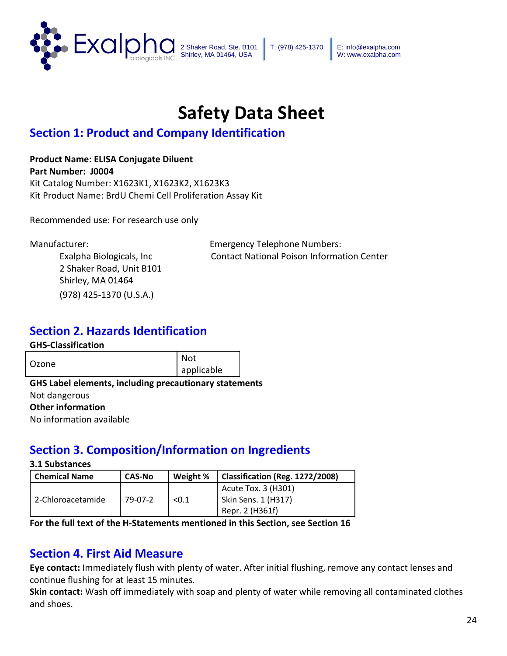

T: (978) 425-1370 E: info@exalpha.com W: www.exalpha.com

# **Safety Data Sheet**

## **Section 1: Product and Company Identification**

### **Product Name: ELISA Conjugate Diluent**

**Part Number: J0004** Kit Catalog Number: X1623K1, X1623K2, X1623K3 Kit Product Name: BrdU Chemi Cell Proliferation Assay Kit

Recommended use: For research use only

2 Shaker Road, Unit B101 Shirley, MA 01464 (978) 425-1370 (U.S.A.)

Manufacturer: Emergency Telephone Numbers: Exalpha Biologicals, Inc Contact National Poison Information Center

## **Section 2. Hazards Identification**

### **GHS-Classification**

| Ozone | Not        |
|-------|------------|
|       | applicable |

**GHS Label elements, including precautionary statements**  Not dangerous **Other information**  No information available

## **Section 3. Composition/Information on Ingredients**

#### **3.1 Substances**

| <b>Chemical Name</b> | <b>CAS-No</b> | Weight % | Classification (Reg. 1272/2008) |
|----------------------|---------------|----------|---------------------------------|
|                      |               |          | Acute Tox. 3 (H301)             |
| 2-Chloroacetamide    | 79-07-2       | < 0.1    | Skin Sens. 1 (H317)             |
|                      |               |          | Repr. 2 (H361f)                 |

**For the full text of the H-Statements mentioned in this Section, see Section 16** 

## **Section 4. First Aid Measure**

**Eye contact:** Immediately flush with plenty of water. After initial flushing, remove any contact lenses and continue flushing for at least 15 minutes.

**Skin contact:** Wash off immediately with soap and plenty of water while removing all contaminated clothes and shoes.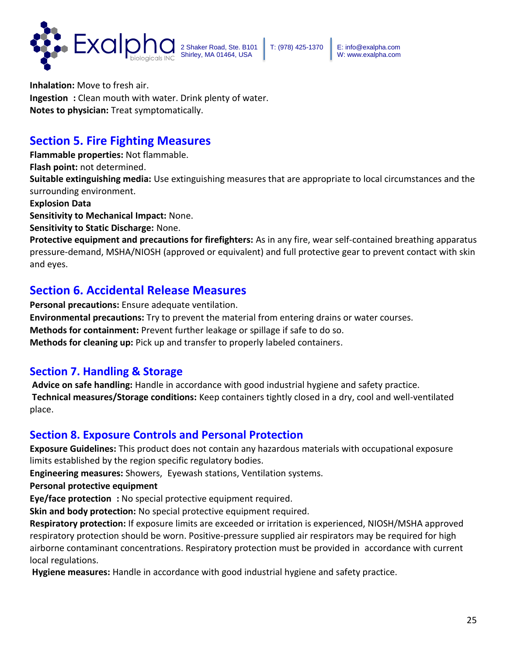

**Inhalation:** Move to fresh air. **Ingestion :** Clean mouth with water. Drink plenty of water. **Notes to physician:** Treat symptomatically.

## **Section 5. Fire Fighting Measures**

**Flammable properties:** Not flammable.

**Flash point:** not determined.

**Suitable extinguishing media:** Use extinguishing measures that are appropriate to local circumstances and the surrounding environment.

#### **Explosion Data**

**Sensitivity to Mechanical Impact:** None.

**Sensitivity to Static Discharge:** None.

**Protective equipment and precautions for firefighters:** As in any fire, wear self-contained breathing apparatus pressure-demand, MSHA/NIOSH (approved or equivalent) and full protective gear to prevent contact with skin and eyes.

## **Section 6. Accidental Release Measures**

**Personal precautions:** Ensure adequate ventilation. **Environmental precautions:** Try to prevent the material from entering drains or water courses. **Methods for containment:** Prevent further leakage or spillage if safe to do so. **Methods for cleaning up:** Pick up and transfer to properly labeled containers.

## **Section 7. Handling & Storage**

**Advice on safe handling:** Handle in accordance with good industrial hygiene and safety practice. **Technical measures/Storage conditions:** Keep containers tightly closed in a dry, cool and well-ventilated place.

### **Section 8. Exposure Controls and Personal Protection**

**Exposure Guidelines:** This product does not contain any hazardous materials with occupational exposure limits established by the region specific regulatory bodies.

**Engineering measures:** Showers, Eyewash stations, Ventilation systems.

### **Personal protective equipment**

**Eye/face protection :** No special protective equipment required.

**Skin and body protection:** No special protective equipment required.

**Respiratory protection:** If exposure limits are exceeded or irritation is experienced, NIOSH/MSHA approved respiratory protection should be worn. Positive-pressure supplied air respirators may be required for high airborne contaminant concentrations. Respiratory protection must be provided in accordance with current local regulations.

**Hygiene measures:** Handle in accordance with good industrial hygiene and safety practice.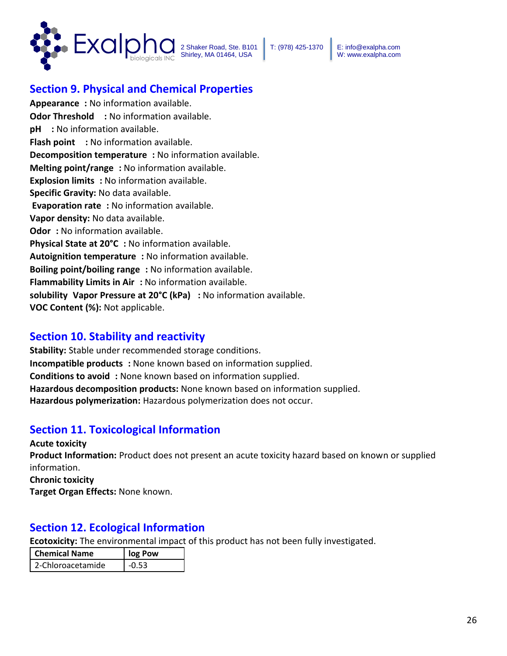

## **Section 9. Physical and Chemical Properties**

**Appearance :** No information available. **Odor Threshold** : No information available. **pH :** No information available. **Flash point : No information available. Decomposition temperature :** No information available. **Melting point/range :** No information available. **Explosion limits**: No information available. **Specific Gravity:** No data available. **Evaporation rate :** No information available. **Vapor density:** No data available. **Odor**: No information available. **Physical State at 20°C :** No information available. **Autoignition temperature :** No information available. **Boiling point/boiling range :** No information available. **Flammability Limits in Air :** No information available. **solubility Vapor Pressure at 20°C (kPa) :** No information available. **VOC Content (%):** Not applicable.

### **Section 10. Stability and reactivity**

**Stability:** Stable under recommended storage conditions. **Incompatible products :** None known based on information supplied. **Conditions to avoid :** None known based on information supplied. **Hazardous decomposition products:** None known based on information supplied. **Hazardous polymerization:** Hazardous polymerization does not occur.

## **Section 11. Toxicological Information**

**Acute toxicity Product Information:** Product does not present an acute toxicity hazard based on known or supplied information. **Chronic toxicity Target Organ Effects:** None known.

## **Section 12. Ecological Information**

**Ecotoxicity:** The environmental impact of this product has not been fully investigated.

| <b>Chemical Name</b> | log Pow |
|----------------------|---------|
| 2-Chloroacetamide    | $-0.53$ |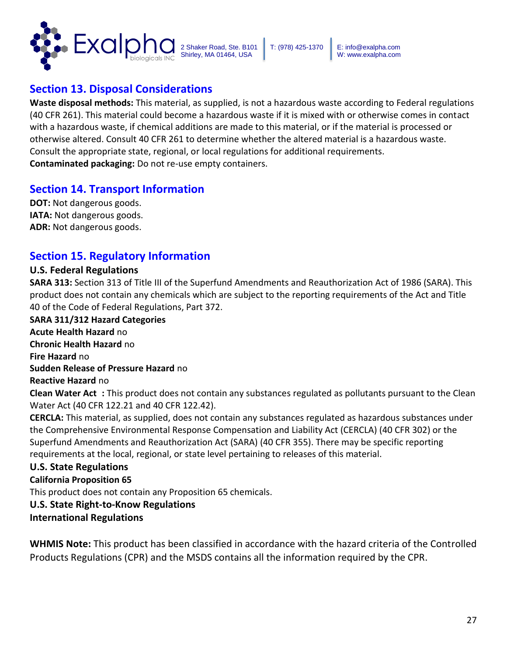

## **Section 13. Disposal Considerations**

**Waste disposal methods:** This material, as supplied, is not a hazardous waste according to Federal regulations (40 CFR 261). This material could become a hazardous waste if it is mixed with or otherwise comes in contact with a hazardous waste, if chemical additions are made to this material, or if the material is processed or otherwise altered. Consult 40 CFR 261 to determine whether the altered material is a hazardous waste. Consult the appropriate state, regional, or local regulations for additional requirements. **Contaminated packaging:** Do not re-use empty containers.

### **Section 14. Transport Information**

**DOT:** Not dangerous goods. **IATA:** Not dangerous goods. **ADR:** Not dangerous goods.

### **Section 15. Regulatory Information**

#### **U.S. Federal Regulations**

**SARA 313:** Section 313 of Title III of the Superfund Amendments and Reauthorization Act of 1986 (SARA). This product does not contain any chemicals which are subject to the reporting requirements of the Act and Title 40 of the Code of Federal Regulations, Part 372.

**SARA 311/312 Hazard Categories Acute Health Hazard** no **Chronic Health Hazard** no **Fire Hazard** no **Sudden Release of Pressure Hazard** no **Reactive Hazard** no **Clean Water Act :** This product does not contain any substances regulated as pollutants pursuant to the Clean

Water Act (40 CFR 122.21 and 40 CFR 122.42). **CERCLA:** This material, as supplied, does not contain any substances regulated as hazardous substances under the Comprehensive Environmental Response Compensation and Liability Act (CERCLA) (40 CFR 302) or the Superfund Amendments and Reauthorization Act (SARA) (40 CFR 355). There may be specific reporting requirements at the local, regional, or state level pertaining to releases of this material.

### **U.S. State Regulations**

**California Proposition 65** 

This product does not contain any Proposition 65 chemicals.

### **U.S. State Right-to-Know Regulations**

**International Regulations** 

**WHMIS Note:** This product has been classified in accordance with the hazard criteria of the Controlled Products Regulations (CPR) and the MSDS contains all the information required by the CPR.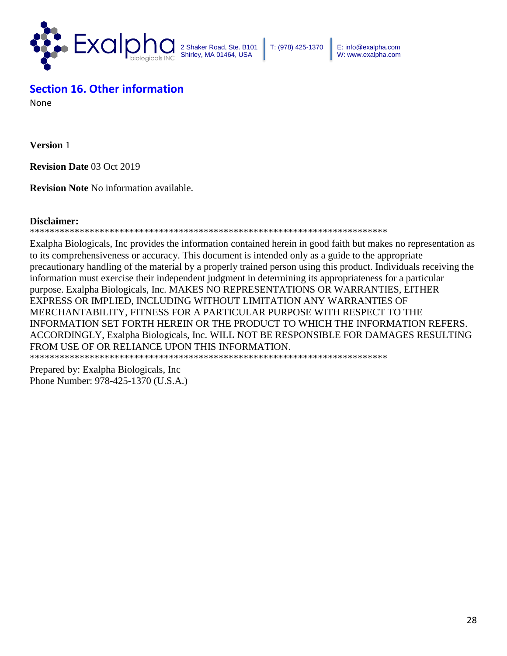

T: (978) 425-1370 E: info@exalpha.com W: www.exalpha.com

## **Section 16. Other information**

None

**Version** 1

**Revision Date** 03 Oct 2019

**Revision Note** No information available.

#### **Disclaimer:**

#### \*\*\*\*\*\*\*\*\*\*\*\*\*\*\*\*\*\*\*\*\*\*\*\*\*\*\*\*\*\*\*\*\*\*\*\*\*\*\*\*\*\*\*\*\*\*\*\*\*\*\*\*\*\*\*\*\*\*\*\*\*\*\*\*\*\*\*\*\*\*\*\*

Exalpha Biologicals, Inc provides the information contained herein in good faith but makes no representation as to its comprehensiveness or accuracy. This document is intended only as a guide to the appropriate precautionary handling of the material by a properly trained person using this product. Individuals receiving the information must exercise their independent judgment in determining its appropriateness for a particular purpose. Exalpha Biologicals, Inc. MAKES NO REPRESENTATIONS OR WARRANTIES, EITHER EXPRESS OR IMPLIED, INCLUDING WITHOUT LIMITATION ANY WARRANTIES OF MERCHANTABILITY, FITNESS FOR A PARTICULAR PURPOSE WITH RESPECT TO THE INFORMATION SET FORTH HEREIN OR THE PRODUCT TO WHICH THE INFORMATION REFERS. ACCORDINGLY, Exalpha Biologicals, Inc. WILL NOT BE RESPONSIBLE FOR DAMAGES RESULTING FROM USE OF OR RELIANCE UPON THIS INFORMATION.

\*\*\*\*\*\*\*\*\*\*\*\*\*\*\*\*\*\*\*\*\*\*\*\*\*\*\*\*\*\*\*\*\*\*\*\*\*\*\*\*\*\*\*\*\*\*\*\*\*\*\*\*\*\*\*\*\*\*\*\*\*\*\*\*\*\*\*\*\*\*\*\*

Prepared by: Exalpha Biologicals, Inc Phone Number: 978-425-1370 (U.S.A.)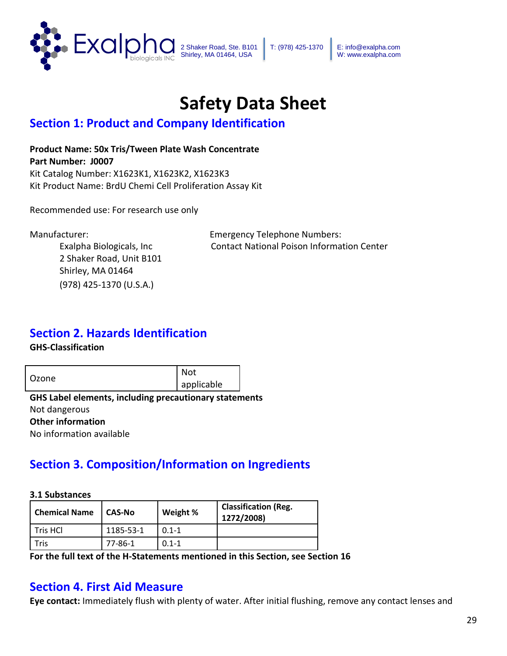

T: (978) 425-1370 E: info@exalpha.com W: www.exalpha.com

# **Safety Data Sheet**

## **Section 1: Product and Company Identification**

**Product Name: 50x Tris/Tween Plate Wash Concentrate Part Number: J0007** Kit Catalog Number: X1623K1, X1623K2, X1623K3 Kit Product Name: BrdU Chemi Cell Proliferation Assay Kit

Recommended use: For research use only

2 Shaker Road, Unit B101 Shirley, MA 01464 (978) 425-1370 (U.S.A.)

Manufacturer: Emergency Telephone Numbers: Exalpha Biologicals, Inc Contact National Poison Information Center

## **Section 2. Hazards Identification**

**GHS-Classification**

Ozone Not applicable

**GHS Label elements, including precautionary statements**  Not dangerous **Other information**  No information available

## **Section 3. Composition/Information on Ingredients**

**3.1 Substances** 

| <b>Chemical Name</b> | CAS-No    | Weight %  | <b>Classification (Reg.</b><br>1272/2008) |
|----------------------|-----------|-----------|-------------------------------------------|
| Tris HCl             | 1185-53-1 | $0.1 - 1$ |                                           |
| Tris                 | 77-86-1   | $0.1 - 1$ |                                           |

**For the full text of the H-Statements mentioned in this Section, see Section 16** 

## **Section 4. First Aid Measure**

**Eye contact:** Immediately flush with plenty of water. After initial flushing, remove any contact lenses and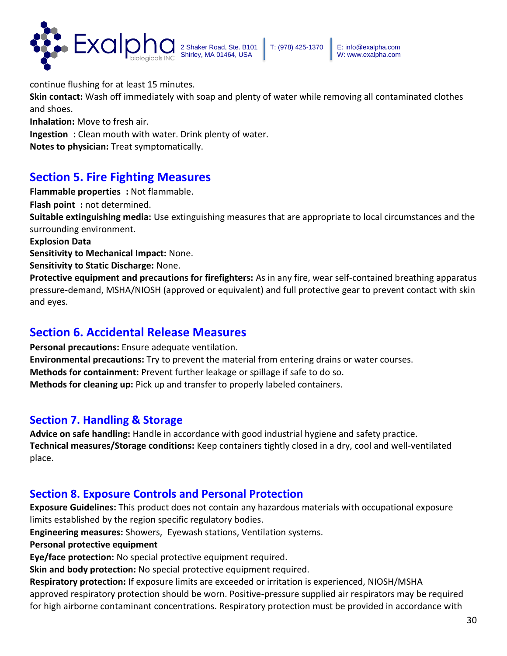

continue flushing for at least 15 minutes.

**Skin contact:** Wash off immediately with soap and plenty of water while removing all contaminated clothes and shoes.

**Inhalation:** Move to fresh air.

**Ingestion :** Clean mouth with water. Drink plenty of water.

**Notes to physician:** Treat symptomatically.

## **Section 5. Fire Fighting Measures**

**Flammable properties :** Not flammable.

**Flash point :** not determined.

**Suitable extinguishing media:** Use extinguishing measures that are appropriate to local circumstances and the surrounding environment.

**Explosion Data** 

**Sensitivity to Mechanical Impact:** None.

**Sensitivity to Static Discharge:** None.

**Protective equipment and precautions for firefighters:** As in any fire, wear self-contained breathing apparatus pressure-demand, MSHA/NIOSH (approved or equivalent) and full protective gear to prevent contact with skin and eyes.

## **Section 6. Accidental Release Measures**

**Personal precautions:** Ensure adequate ventilation. **Environmental precautions:** Try to prevent the material from entering drains or water courses. **Methods for containment:** Prevent further leakage or spillage if safe to do so. **Methods for cleaning up:** Pick up and transfer to properly labeled containers.

### **Section 7. Handling & Storage**

**Advice on safe handling:** Handle in accordance with good industrial hygiene and safety practice. **Technical measures/Storage conditions:** Keep containers tightly closed in a dry, cool and well-ventilated place.

### **Section 8. Exposure Controls and Personal Protection**

**Exposure Guidelines:** This product does not contain any hazardous materials with occupational exposure limits established by the region specific regulatory bodies.

**Engineering measures:** Showers, Eyewash stations, Ventilation systems.

**Personal protective equipment** 

**Eye/face protection:** No special protective equipment required.

**Skin and body protection:** No special protective equipment required.

**Respiratory protection:** If exposure limits are exceeded or irritation is experienced, NIOSH/MSHA approved respiratory protection should be worn. Positive-pressure supplied air respirators may be required for high airborne contaminant concentrations. Respiratory protection must be provided in accordance with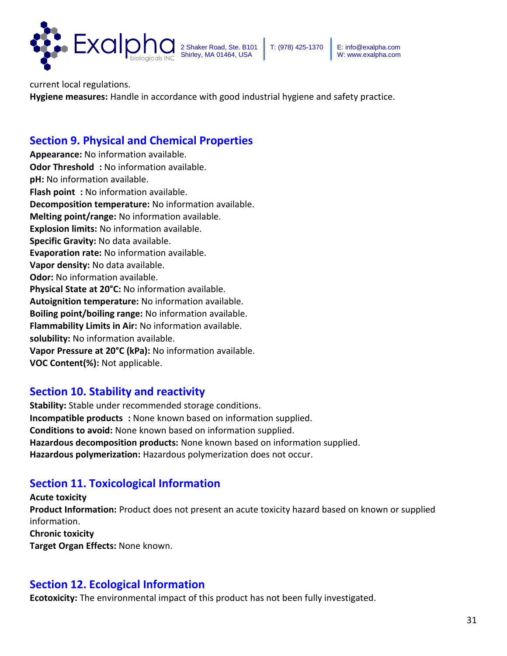

current local regulations.

**Hygiene measures:** Handle in accordance with good industrial hygiene and safety practice.

### **Section 9. Physical and Chemical Properties**

**Appearance:** No information available. **Odor Threshold** : No information available. **pH:** No information available. **Flash point**: No information available. **Decomposition temperature:** No information available. **Melting point/range:** No information available. **Explosion limits:** No information available. **Specific Gravity:** No data available. **Evaporation rate:** No information available. **Vapor density:** No data available. **Odor:** No information available. **Physical State at 20°C:** No information available. **Autoignition temperature:** No information available. **Boiling point/boiling range:** No information available. **Flammability Limits in Air:** No information available. **solubility:** No information available. **Vapor Pressure at 20°C (kPa):** No information available. **VOC Content(%):** Not applicable.

### **Section 10. Stability and reactivity**

**Stability:** Stable under recommended storage conditions. **Incompatible products :** None known based on information supplied. **Conditions to avoid:** None known based on information supplied. **Hazardous decomposition products:** None known based on information supplied. **Hazardous polymerization:** Hazardous polymerization does not occur.

## **Section 11. Toxicological Information**

**Acute toxicity Product Information:** Product does not present an acute toxicity hazard based on known or supplied information. **Chronic toxicity Target Organ Effects:** None known.

### **Section 12. Ecological Information**

**Ecotoxicity:** The environmental impact of this product has not been fully investigated.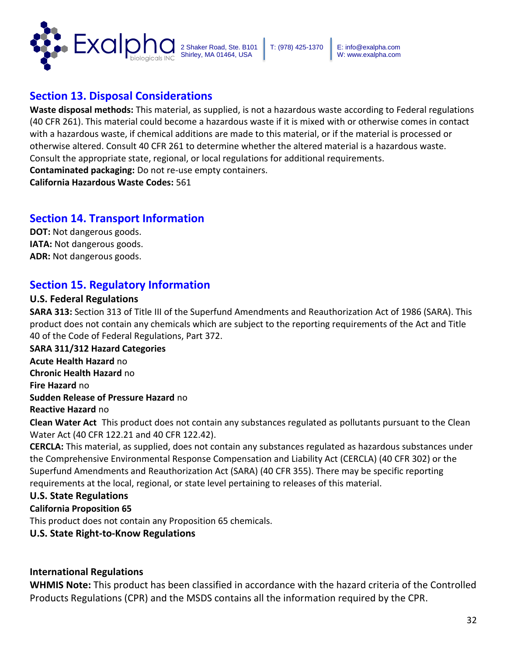

### **Section 13. Disposal Considerations**

**Waste disposal methods:** This material, as supplied, is not a hazardous waste according to Federal regulations (40 CFR 261). This material could become a hazardous waste if it is mixed with or otherwise comes in contact with a hazardous waste, if chemical additions are made to this material, or if the material is processed or otherwise altered. Consult 40 CFR 261 to determine whether the altered material is a hazardous waste. Consult the appropriate state, regional, or local regulations for additional requirements. **Contaminated packaging:** Do not re-use empty containers.

**California Hazardous Waste Codes:** 561

### **Section 14. Transport Information**

**DOT:** Not dangerous goods. **IATA:** Not dangerous goods. **ADR:** Not dangerous goods.

### **Section 15. Regulatory Information**

#### **U.S. Federal Regulations**

**SARA 313:** Section 313 of Title III of the Superfund Amendments and Reauthorization Act of 1986 (SARA). This product does not contain any chemicals which are subject to the reporting requirements of the Act and Title 40 of the Code of Federal Regulations, Part 372.

**SARA 311/312 Hazard Categories Acute Health Hazard** no **Chronic Health Hazard** no **Fire Hazard** no **Sudden Release of Pressure Hazard** no **Reactive Hazard** no

**Clean Water Act** This product does not contain any substances regulated as pollutants pursuant to the Clean Water Act (40 CFR 122.21 and 40 CFR 122.42).

**CERCLA:** This material, as supplied, does not contain any substances regulated as hazardous substances under the Comprehensive Environmental Response Compensation and Liability Act (CERCLA) (40 CFR 302) or the Superfund Amendments and Reauthorization Act (SARA) (40 CFR 355). There may be specific reporting requirements at the local, regional, or state level pertaining to releases of this material.

### **U.S. State Regulations**

#### **California Proposition 65**

This product does not contain any Proposition 65 chemicals.

**U.S. State Right-to-Know Regulations** 

### **International Regulations**

**WHMIS Note:** This product has been classified in accordance with the hazard criteria of the Controlled Products Regulations (CPR) and the MSDS contains all the information required by the CPR.